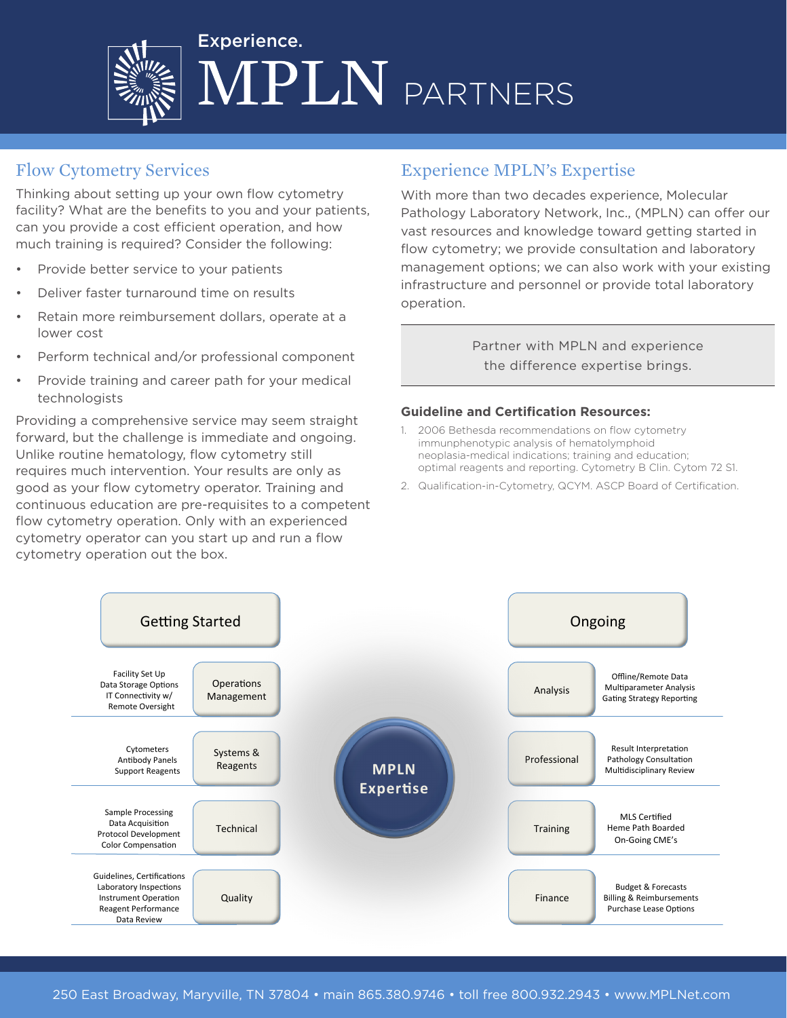

## Flow Cytometry Services

Thinking about setting up your own flow cytometry facility? What are the benefits to you and your patients, can you provide a cost efficient operation, and how much training is required? Consider the following:

- Provide better service to your patients
- Deliver faster turnaround time on results
- Retain more reimbursement dollars, operate at a lower cost
- Perform technical and/or professional component
- Provide training and career path for your medical technologists

Providing a comprehensive service may seem straight forward, but the challenge is immediate and ongoing. Unlike routine hematology, flow cytometry still requires much intervention. Your results are only as good as your flow cytometry operator. Training and continuous education are pre-requisites to a competent flow cytometry operation. Only with an experienced cytometry operator can you start up and run a flow cytometry operation out the box.

#### Experience MPLN's Expertise

With more than two decades experience, Molecular Pathology Laboratory Network, Inc., (MPLN) can offer our vast resources and knowledge toward getting started in flow cytometry; we provide consultation and laboratory management options; we can also work with your existing infrastructure and personnel or provide total laboratory operation.

> Partner with MPLN and experience the difference expertise brings.

#### **Guideline and Certification Resources:**

- 1. 2006 Bethesda recommendations on flow cytometry immunphenotypic analysis of hematolymphoid neoplasia-medical indications; training and education; optimal reagents and reporting. Cytometry B Clin. Cytom 72 S1.
- 2. Qualification-in-Cytometry, QCYM. ASCP Board of Certification.